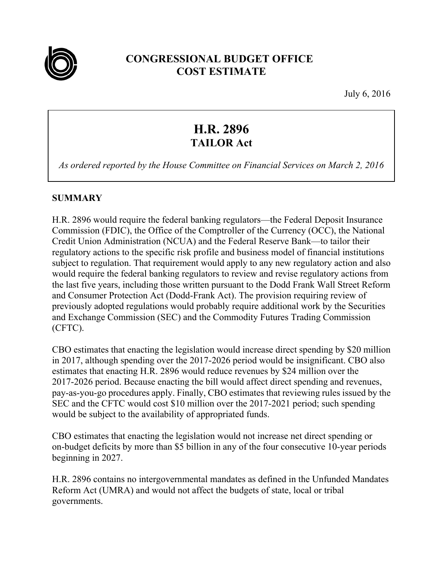

## **CONGRESSIONAL BUDGET OFFICE COST ESTIMATE**

July 6, 2016

# **H.R. 2896 TAILOR Act**

*As ordered reported by the House Committee on Financial Services on March 2, 2016* 

## **SUMMARY**

H.R. 2896 would require the federal banking regulators—the Federal Deposit Insurance Commission (FDIC), the Office of the Comptroller of the Currency (OCC), the National Credit Union Administration (NCUA) and the Federal Reserve Bank—to tailor their regulatory actions to the specific risk profile and business model of financial institutions subject to regulation. That requirement would apply to any new regulatory action and also would require the federal banking regulators to review and revise regulatory actions from the last five years, including those written pursuant to the Dodd Frank Wall Street Reform and Consumer Protection Act (Dodd-Frank Act). The provision requiring review of previously adopted regulations would probably require additional work by the Securities and Exchange Commission (SEC) and the Commodity Futures Trading Commission (CFTC).

CBO estimates that enacting the legislation would increase direct spending by \$20 million in 2017, although spending over the 2017-2026 period would be insignificant. CBO also estimates that enacting H.R. 2896 would reduce revenues by \$24 million over the 2017-2026 period. Because enacting the bill would affect direct spending and revenues, pay-as-you-go procedures apply. Finally, CBO estimates that reviewing rules issued by the SEC and the CFTC would cost \$10 million over the 2017-2021 period; such spending would be subject to the availability of appropriated funds.

CBO estimates that enacting the legislation would not increase net direct spending or on-budget deficits by more than \$5 billion in any of the four consecutive 10-year periods beginning in 2027.

H.R. 2896 contains no intergovernmental mandates as defined in the Unfunded Mandates Reform Act (UMRA) and would not affect the budgets of state, local or tribal governments.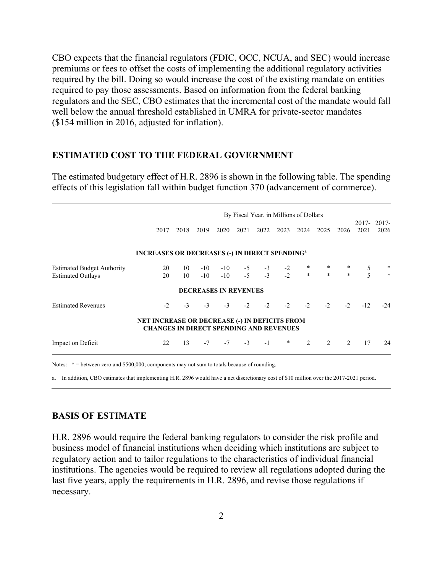CBO expects that the financial regulators (FDIC, OCC, NCUA, and SEC) would increase premiums or fees to offset the costs of implementing the additional regulatory activities required by the bill. Doing so would increase the cost of the existing mandate on entities required to pay those assessments. Based on information from the federal banking regulators and the SEC, CBO estimates that the incremental cost of the mandate would fall well below the annual threshold established in UMRA for private-sector mandates (\$154 million in 2016, adjusted for inflation).

#### **ESTIMATED COST TO THE FEDERAL GOVERNMENT**

The estimated budgetary effect of H.R. 2896 is shown in the following table. The spending effects of this legislation fall within budget function 370 (advancement of commerce).

|                                   | By Fiscal Year, in Millions of Dollars                                                                 |      |           |                              |      |      |      |         |                |               |                  |                  |
|-----------------------------------|--------------------------------------------------------------------------------------------------------|------|-----------|------------------------------|------|------|------|---------|----------------|---------------|------------------|------------------|
|                                   | 2017                                                                                                   | 2018 | 2019      | 2020                         | 2021 | 2022 | 2023 | 2024    | 2025           | 2026          | $2017 -$<br>2021 | $2017 -$<br>2026 |
|                                   | <b>INCREASES OR DECREASES (-) IN DIRECT SPENDING<sup>a</sup></b>                                       |      |           |                              |      |      |      |         |                |               |                  |                  |
| <b>Estimated Budget Authority</b> | 20                                                                                                     | 10   | $-10$     | $-10$                        | $-5$ | $-3$ | $-2$ |         |                |               | $\frac{5}{5}$    | $*$              |
| <b>Estimated Outlays</b>          | 20                                                                                                     | 10   | $-10^{-}$ | $-10$                        | $-5$ | $-3$ | $-2$ | $\star$ | $\ast$         | $\ast$        |                  |                  |
|                                   |                                                                                                        |      |           | <b>DECREASES IN REVENUES</b> |      |      |      |         |                |               |                  |                  |
| <b>Estimated Revenues</b>         | $-2$                                                                                                   | $-3$ | $-3$      | $-3$                         | $-2$ | $-2$ | $-2$ | $-2$    | $-2$           | $-2$          | $-12$            | $-2.4$           |
|                                   | <b>NET INCREASE OR DECREASE (-) IN DEFICITS FROM</b><br><b>CHANGES IN DIRECT SPENDING AND REVENUES</b> |      |           |                              |      |      |      |         |                |               |                  |                  |
| Impact on Deficit                 | 22                                                                                                     | 13   | $-7$      | $-7$                         | $-3$ | $-1$ | *    | 2       | $\mathfrak{D}$ | $\mathcal{D}$ | 17               | 24               |

Notes:  $* =$  between zero and \$500,000; components may not sum to totals because of rounding.

a. In addition, CBO estimates that implementing H.R. 2896 would have a net discretionary cost of \$10 million over the 2017-2021 period.

#### **BASIS OF ESTIMATE**

H.R. 2896 would require the federal banking regulators to consider the risk profile and business model of financial institutions when deciding which institutions are subject to regulatory action and to tailor regulations to the characteristics of individual financial institutions. The agencies would be required to review all regulations adopted during the last five years, apply the requirements in H.R. 2896, and revise those regulations if necessary.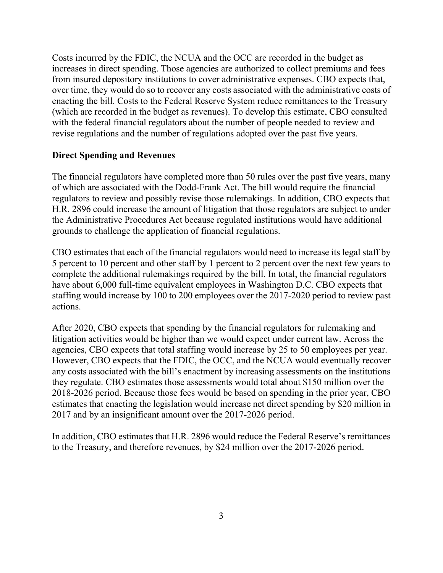Costs incurred by the FDIC, the NCUA and the OCC are recorded in the budget as increases in direct spending. Those agencies are authorized to collect premiums and fees from insured depository institutions to cover administrative expenses. CBO expects that, over time, they would do so to recover any costs associated with the administrative costs of enacting the bill. Costs to the Federal Reserve System reduce remittances to the Treasury (which are recorded in the budget as revenues). To develop this estimate, CBO consulted with the federal financial regulators about the number of people needed to review and revise regulations and the number of regulations adopted over the past five years.

### **Direct Spending and Revenues**

The financial regulators have completed more than 50 rules over the past five years, many of which are associated with the Dodd-Frank Act. The bill would require the financial regulators to review and possibly revise those rulemakings. In addition, CBO expects that H.R. 2896 could increase the amount of litigation that those regulators are subject to under the Administrative Procedures Act because regulated institutions would have additional grounds to challenge the application of financial regulations.

CBO estimates that each of the financial regulators would need to increase its legal staff by 5 percent to 10 percent and other staff by 1 percent to 2 percent over the next few years to complete the additional rulemakings required by the bill. In total, the financial regulators have about 6,000 full-time equivalent employees in Washington D.C. CBO expects that staffing would increase by 100 to 200 employees over the 2017-2020 period to review past actions.

After 2020, CBO expects that spending by the financial regulators for rulemaking and litigation activities would be higher than we would expect under current law. Across the agencies, CBO expects that total staffing would increase by 25 to 50 employees per year. However, CBO expects that the FDIC, the OCC, and the NCUA would eventually recover any costs associated with the bill's enactment by increasing assessments on the institutions they regulate. CBO estimates those assessments would total about \$150 million over the 2018-2026 period. Because those fees would be based on spending in the prior year, CBO estimates that enacting the legislation would increase net direct spending by \$20 million in 2017 and by an insignificant amount over the 2017-2026 period.

In addition, CBO estimates that H.R. 2896 would reduce the Federal Reserve's remittances to the Treasury, and therefore revenues, by \$24 million over the 2017-2026 period.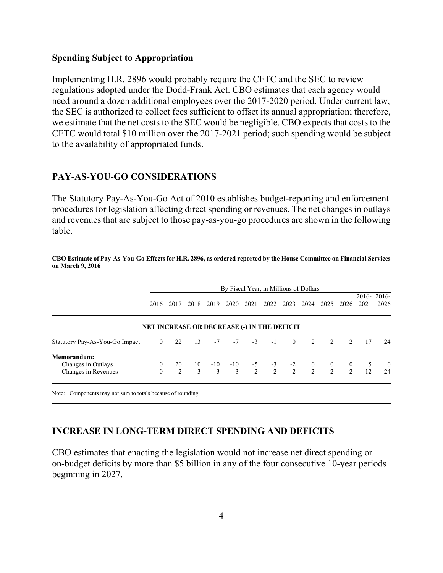#### **Spending Subject to Appropriation**

Implementing H.R. 2896 would probably require the CFTC and the SEC to review regulations adopted under the Dodd-Frank Act. CBO estimates that each agency would need around a dozen additional employees over the 2017-2020 period. Under current law, the SEC is authorized to collect fees sufficient to offset its annual appropriation; therefore, we estimate that the net costs to the SEC would be negligible. CBO expects that costs to the CFTC would total \$10 million over the 2017-2021 period; such spending would be subject to the availability of appropriated funds.

#### **PAY-AS-YOU-GO CONSIDERATIONS**

The Statutory Pay-As-You-Go Act of 2010 establishes budget-reporting and enforcement procedures for legislation affecting direct spending or revenues. The net changes in outlays and revenues that are subject to those pay-as-you-go procedures are shown in the following table.

**CBO Estimate of Pay-As-You-Go Effects for H.R. 2896, as ordered reported by the House Committee on Financial Services** 

|                                | By Fiscal Year, in Millions of Dollars             |      |                                                                                                               |      |           |      |             |      |      |      |      |      |                       |
|--------------------------------|----------------------------------------------------|------|---------------------------------------------------------------------------------------------------------------|------|-----------|------|-------------|------|------|------|------|------|-----------------------|
|                                | 2016                                               | 2017 | 2018                                                                                                          | 2019 | 2020      | 2021 | 2022        | 2023 | 2024 | 2025 | 2026 | 2021 | $2016 - 2016$<br>2026 |
|                                | <b>NET INCREASE OR DECREASE (-) IN THE DEFICIT</b> |      |                                                                                                               |      |           |      |             |      |      |      |      |      |                       |
| Statutory Pay-As-You-Go Impact | $\overline{0}$                                     | 22   | 13                                                                                                            |      | $-7 - -7$ |      | $-3$ $-1$ 0 |      | 2    | 2    | 2    | 17   | 24                    |
| Memorandum:                    |                                                    |      |                                                                                                               |      |           |      |             |      |      |      |      |      |                       |
| Changes in Outlays             | $\bf{0}$                                           | 20   | $10 \t-10 \t-10 \t-5 \t-3 \t-2 \t-2 \t-10 \t0 \t0 \t 5$<br>$-3 \t-3 \t-3 \t-2 \t-2 \t-2 \t-2 \t-2 \t-2 \t-12$ |      |           |      |             |      |      |      |      |      | $\frac{0}{-24}$       |
| Changes in Revenues            | $\Omega$                                           | $-2$ |                                                                                                               |      |           |      |             |      |      |      |      |      |                       |

Note: Components may not sum to totals because of rounding.

**on March 9, 2016** 

#### **INCREASE IN LONG-TERM DIRECT SPENDING AND DEFICITS**

CBO estimates that enacting the legislation would not increase net direct spending or on-budget deficits by more than \$5 billion in any of the four consecutive 10-year periods beginning in 2027.